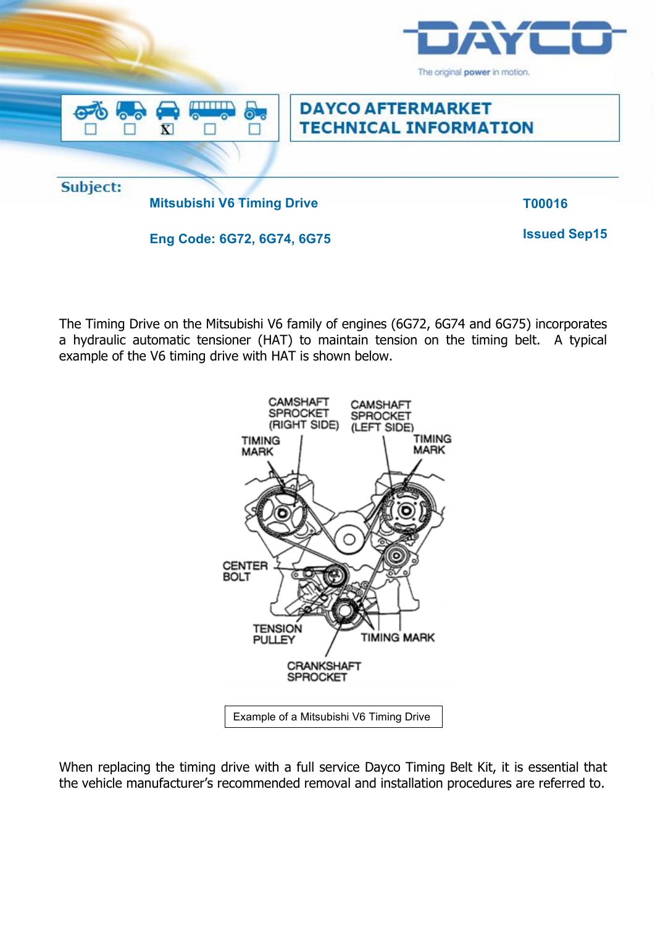

The Timing Drive on the Mitsubishi V6 family of engines (6G72, 6G74 and 6G75) incorporates a hydraulic automatic tensioner (HAT) to maintain tension on the timing belt. A typical example of the V6 timing drive with HAT is shown below.



When replacing the timing drive with a full service Dayco Timing Belt Kit, it is essential that the vehicle manufacturer's recommended removal and installation procedures are referred to.